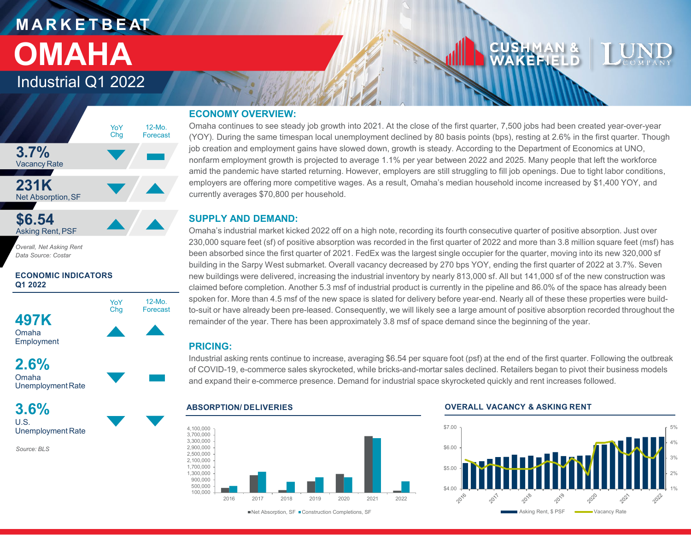# **M A R K E T B E AT OMAHA**

# Industrial Q1 2022



*Overall, Net Asking Rent Data Source: Costar*

## **ECONOMIC INDICATORS Q1 2022**



**2.6%**



**3.6%** U.S. Unemployment Rate

*Source: BLS*

# **ECONOMY OVERVIEW:**

Omaha continues to see steady job growth into 2021. At the close of the first quarter, 7,500 jobs had been created year-over-year (YOY). During the same timespan local unemployment declined by 80 basis points (bps), resting at 2.6% in the first quarter. Though job creation and employment gains have slowed down, growth is steady. According to the Department of Economics at UNO, nonfarm employment growth is projected to average 1.1% per year between 2022 and 2025. Many people that left the workforce amid the pandemic have started returning. However, employers are still struggling to fill job openings. Due to tight labor conditions, employers are offering more competitive wages. As a result, Omaha's median household income increased by \$1,400 YOY, and currently averages \$70,800 per household.

# **SUPPLY AND DEMAND:**

Omaha's industrial market kicked 2022 off on a high note, recording its fourth consecutive quarter of positive absorption. Just over 230,000 square feet (sf) of positive absorption was recorded in the first quarter of 2022 and more than 3.8 million square feet (msf) has been absorbed since the first quarter of 2021. FedEx was the largest single occupier for the quarter, moving into its new 320,000 sf building in the Sarpy West submarket. Overall vacancy decreased by 270 bps YOY, ending the first quarter of 2022 at 3.7%. Seven new buildings were delivered, increasing the industrial inventory by nearly 813,000 sf. All but 141,000 sf of the new construction was claimed before completion. Another 5.3 msf of industrial product is currently in the pipeline and 86.0% of the space has already been spoken for. More than 4.5 msf of the new space is slated for delivery before year-end. Nearly all of these these properties were buildto-suit or have already been pre-leased. Consequently, we will likely see a large amount of positive absorption recorded throughout the remainder of the year. There has been approximately 3.8 msf of space demand since the beginning of the year.

# **PRICING:**

Industrial asking rents continue to increase, averaging \$6.54 per square foot (psf) at the end of the first quarter. Following the outbreak of COVID-19, e-commerce sales skyrocketed, while bricks-and-mortar sales declined. Retailers began to pivot their business models and expand their e-commerce presence. Demand for industrial space skyrocketed quickly and rent increases followed.



#### **ABSORPTION/ DELIVERIES OVERALL VACANCY & ASKING RENT**

CUSHMAN &<br>WAKEFIELD